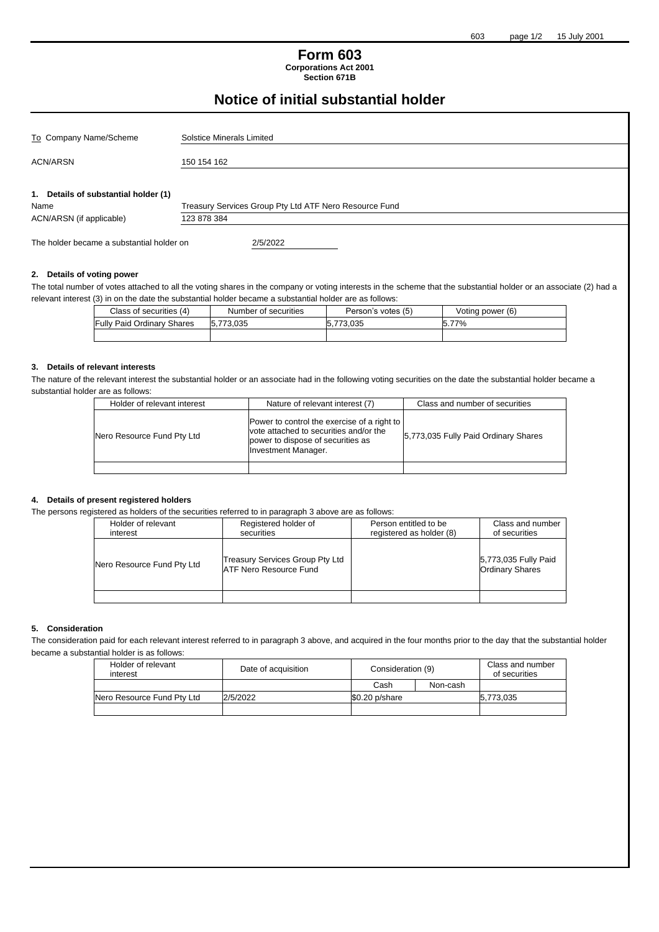# **Form 603 Corporations Act 2001**

**Section 671B**

# **Notice of initial substantial holder**

| To Company Name/Scheme                       | Solstice Minerals Limited                              |  |
|----------------------------------------------|--------------------------------------------------------|--|
| <b>ACN/ARSN</b>                              | 150 154 162                                            |  |
| 1. Details of substantial holder (1)<br>Name | Treasury Services Group Pty Ltd ATF Nero Resource Fund |  |
| ACN/ARSN (if applicable)                     | 123 878 384                                            |  |
| The holder became a substantial holder on    | 2/5/2022                                               |  |

#### **2. Details of voting power**

The total number of votes attached to all the voting shares in the company or voting interests in the scheme that the substantial holder or an associate (2) had a relevant interest (3) in on the date the substantial holder became a substantial holder are as follows:

| Class of securities (4)           | Number of securities | Person's votes (5) | Voting power (6) |
|-----------------------------------|----------------------|--------------------|------------------|
| <b>Fully Paid Ordinary Shares</b> | 5.773.035            | 5.773.035          | 77%              |
|                                   |                      |                    |                  |

### **3. Details of relevant interests**

The nature of the relevant interest the substantial holder or an associate had in the following voting securities on the date the substantial holder became a substantial holder are as follows:

| Holder of relevant interest | Nature of relevant interest (7)                                                                                                                          | Class and number of securities       |
|-----------------------------|----------------------------------------------------------------------------------------------------------------------------------------------------------|--------------------------------------|
| Nero Resource Fund Pty Ltd  | Power to control the exercise of a right to<br>vote attached to securities and/or the<br>power to dispose of securities as<br><b>Investment Manager.</b> | 5,773,035 Fully Paid Ordinary Shares |
|                             |                                                                                                                                                          |                                      |

#### **4. Details of present registered holders**

The persons registered as holders of the securities referred to in paragraph 3 above are as follows:

| Holder of relevant<br>interest | Registered holder of<br>securities                        | Person entitled to be<br>registered as holder (8) | Class and number<br>of securities              |
|--------------------------------|-----------------------------------------------------------|---------------------------------------------------|------------------------------------------------|
| Nero Resource Fund Pty Ltd     | Treasury Services Group Pty Ltd<br>ATF Nero Resource Fund |                                                   | 5,773,035 Fully Paid<br><b>Ordinary Shares</b> |
|                                |                                                           |                                                   |                                                |

## **5. Consideration**

The consideration paid for each relevant interest referred to in paragraph 3 above, and acquired in the four months prior to the day that the substantial holder became a substantial holder is as follows:

| Holder of relevant<br>interest | Date of acquisition | Consideration (9) |          | Class and number<br>of securities |
|--------------------------------|---------------------|-------------------|----------|-----------------------------------|
|                                |                     | Cash              | Non-cash |                                   |
| Nero Resource Fund Pty Ltd     | 2/5/2022            | $$0.20$ p/share   |          | 5.773.035                         |
|                                |                     |                   |          |                                   |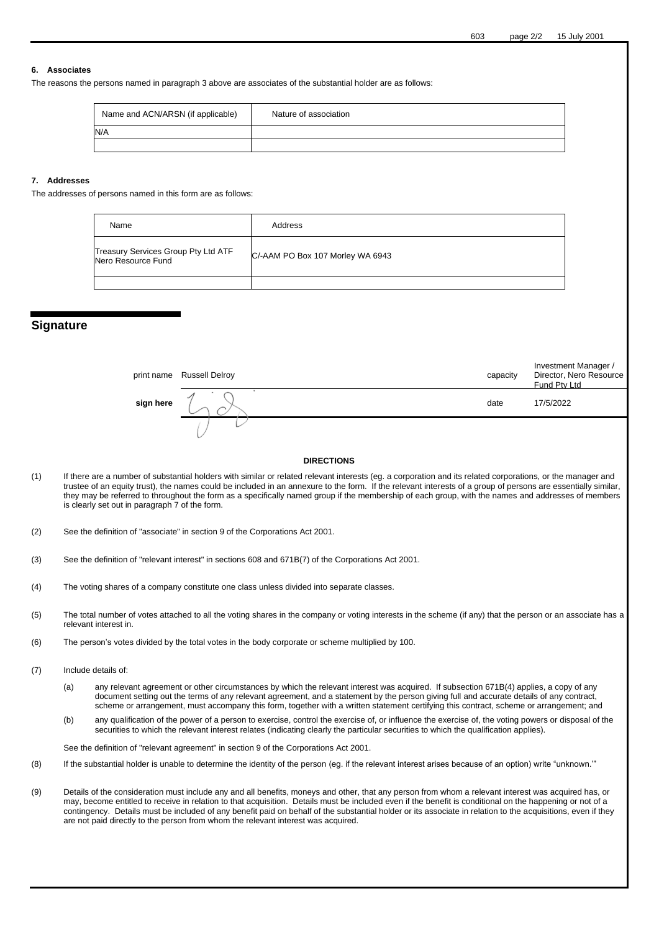#### **6. Associates**

The reasons the persons named in paragraph 3 above are associates of the substantial holder are as follows:

| Name and ACN/ARSN (if applicable) | Nature of association |
|-----------------------------------|-----------------------|
| N/A                               |                       |
|                                   |                       |

#### **7. Addresses**

The addresses of persons named in this form are as follows:

| Name                                                      | Address                          |
|-----------------------------------------------------------|----------------------------------|
| Treasury Services Group Pty Ltd ATF<br>Nero Resource Fund | C/-AAM PO Box 107 Morley WA 6943 |
|                                                           |                                  |

# **Signature**

|           | print name Russell Delroy | capacity | Investment Manager /<br>Director, Nero Resource<br>Fund Pty Ltd |
|-----------|---------------------------|----------|-----------------------------------------------------------------|
| sign here |                           | date     | 17/5/2022                                                       |
|           |                           |          |                                                                 |

#### **DIRECTIONS**

(1) If there are a number of substantial holders with similar or related relevant interests (eg. a corporation and its related corporations, or the manager and trustee of an equity trust), the names could be included in an annexure to the form. If the relevant interests of a group of persons are essentially similar, they may be referred to throughout the form as a specifically named group if the membership of each group, with the names and addresses of members is clearly set out in paragraph 7 of the form.

(2) See the definition of "associate" in section 9 of the Corporations Act 2001.

- (3) See the definition of "relevant interest" in sections 608 and 671B(7) of the Corporations Act 2001.
- (4) The voting shares of a company constitute one class unless divided into separate classes.
- (5) The total number of votes attached to all the voting shares in the company or voting interests in the scheme (if any) that the person or an associate has a relevant interest in.
- (6) The person's votes divided by the total votes in the body corporate or scheme multiplied by 100.
- (7) Include details of:
	- (a) any relevant agreement or other circumstances by which the relevant interest was acquired. If subsection 671B(4) applies, a copy of any document setting out the terms of any relevant agreement, and a statement by the person giving full and accurate details of any contract, scheme or arrangement, must accompany this form, together with a written statement certifying this contract, scheme or arrangement; and
	- (b) any qualification of the power of a person to exercise, control the exercise of, or influence the exercise of, the voting powers or disposal of the securities to which the relevant interest relates (indicating clearly the particular securities to which the qualification applies).

See the definition of "relevant agreement" in section 9 of the Corporations Act 2001.

- (8) If the substantial holder is unable to determine the identity of the person (eg. if the relevant interest arises because of an option) write "unknown.'"
- (9) Details of the consideration must include any and all benefits, moneys and other, that any person from whom a relevant interest was acquired has, or may, become entitled to receive in relation to that acquisition. Details must be included even if the benefit is conditional on the happening or not of a contingency. Details must be included of any benefit paid on behalf of the substantial holder or its associate in relation to the acquisitions, even if they are not paid directly to the person from whom the relevant interest was acquired.